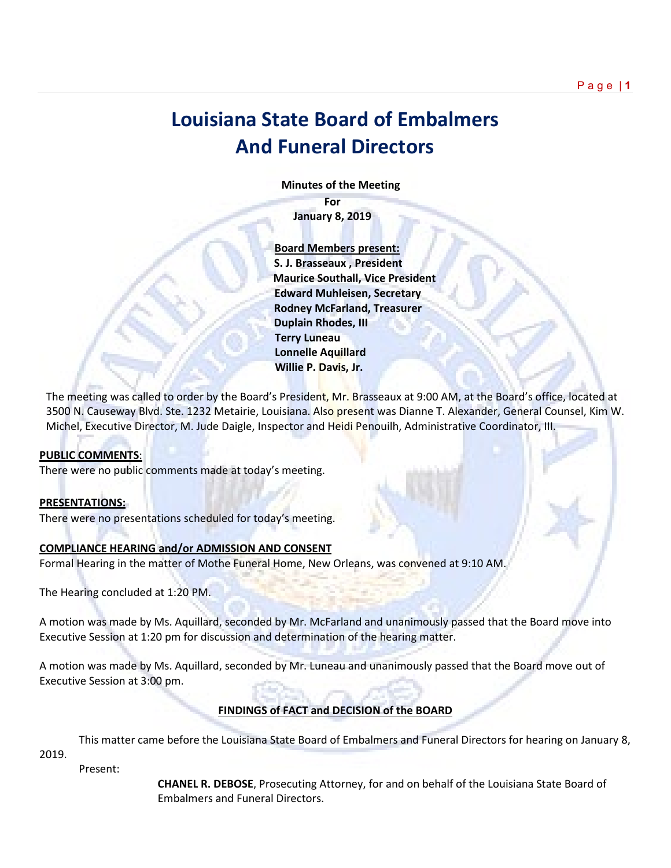## **Louisiana State Board of Embalmers And Funeral Directors**

 **Minutes of the Meeting**

**For January 8, 2019**

 **Board Members present: S. J. Brasseaux , President Maurice Southall, Vice President Edward Muhleisen, Secretary Rodney McFarland, Treasurer Duplain Rhodes, III Terry Luneau Lonnelle Aquillard Willie P. Davis, Jr.** 

The meeting was called to order by the Board's President, Mr. Brasseaux at 9:00 AM, at the Board's office, located at 3500 N. Causeway Blvd. Ste. 1232 Metairie, Louisiana. Also present was Dianne T. Alexander, General Counsel, Kim W. Michel, Executive Director, M. Jude Daigle, Inspector and Heidi Penouilh, Administrative Coordinator, III.

## **PUBLIC COMMENTS**:

There were no public comments made at today's meeting.

## **PRESENTATIONS:**

There were no presentations scheduled for today's meeting.

## **COMPLIANCE HEARING and/or ADMISSION AND CONSENT**

Formal Hearing in the matter of Mothe Funeral Home, New Orleans, was convened at 9:10 AM.

The Hearing concluded at 1:20 PM.

A motion was made by Ms. Aquillard, seconded by Mr. McFarland and unanimously passed that the Board move into Executive Session at 1:20 pm for discussion and determination of the hearing matter.

A motion was made by Ms. Aquillard, seconded by Mr. Luneau and unanimously passed that the Board move out of Executive Session at 3:00 pm.

## **FINDINGS of FACT and DECISION of the BOARD**

This matter came before the Louisiana State Board of Embalmers and Funeral Directors for hearing on January 8, 2019.

Present:

**CHANEL R. DEBOSE**, Prosecuting Attorney, for and on behalf of the Louisiana State Board of Embalmers and Funeral Directors.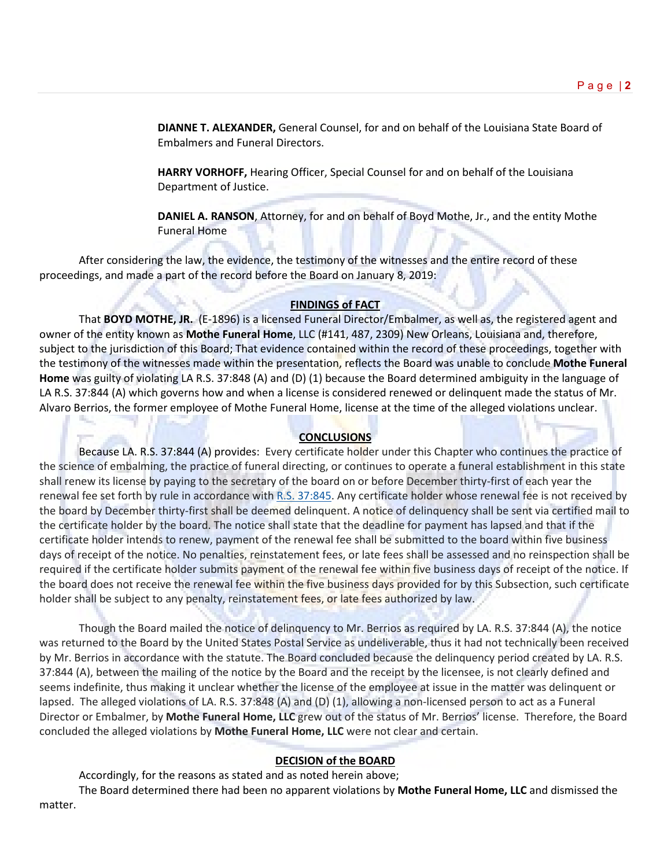**DIANNE T. ALEXANDER,** General Counsel, for and on behalf of the Louisiana State Board of Embalmers and Funeral Directors.

**HARRY VORHOFF,** Hearing Officer, Special Counsel for and on behalf of the Louisiana Department of Justice.

**DANIEL A. RANSON**, Attorney, for and on behalf of Boyd Mothe, Jr., and the entity Mothe Funeral Home

After considering the law, the evidence, the testimony of the witnesses and the entire record of these proceedings, and made a part of the record before the Board on January 8, 2019:

## **FINDINGS of FACT**

That **BOYD MOTHE, JR.** (E-1896) is a licensed Funeral Director/Embalmer, as well as, the registered agent and owner of the entity known as **Mothe Funeral Home**, LLC (#141, 487, 2309) New Orleans, Louisiana and, therefore, subject to the jurisdiction of this Board; That evidence contained within the record of these proceedings, together with the testimony of the witnesses made within the presentation, reflects the Board was unable to conclude **Mothe Funeral Home** was guilty of violating LA R.S. 37:848 (A) and (D) (1) because the Board determined ambiguity in the language of LA R.S. 37:844 (A) which governs how and when a license is considered renewed or delinquent made the status of Mr. Alvaro Berrios, the former employee of Mothe Funeral Home, license at the time of the alleged violations unclear.

## **CONCLUSIONS**

Because LA. R.S. 37:844 (A) provides: Every certificate holder under this Chapter who continues the practice of the science of embalming, the practice of funeral directing, or continues to operate a funeral establishment in this state shall renew its license by paying to the secretary of the board on or before December thirty-first of each year the renewal fee set forth by rule in accordance with [R.S. 37:845.](https://1.next.westlaw.com/Link/Document/FullText?findType=L&pubNum=1000011&cite=LARS37%3a845&originatingDoc=N5BB52FC0771C11E783EBFAD922F6D935&refType=LQ&originationContext=document&transitionType=DocumentItem&contextData=(sc.Default)) Any certificate holder whose renewal fee is not received by the board by December thirty-first shall be deemed delinquent. A notice of delinquency shall be sent via certified mail to the certificate holder by the board. The notice shall state that the deadline for payment has lapsed and that if the certificate holder intends to renew, payment of the renewal fee shall be submitted to the board within five business days of receipt of the notice. No penalties, reinstatement fees, or late fees shall be assessed and no reinspection shall be required if the certificate holder submits payment of the renewal fee within five business days of receipt of the notice. If the board does not receive the renewal fee within the five business days provided for by this Subsection, such certificate holder shall be subject to any penalty, reinstatement fees, or late fees authorized by law.

Though the Board mailed the notice of delinquency to Mr. Berrios as required by LA. R.S. 37:844 (A), the notice was returned to the Board by the United States Postal Service as undeliverable, thus it had not technically been received by Mr. Berrios in accordance with the statute. The Board concluded because the delinquency period created by LA. R.S. 37:844 (A), between the mailing of the notice by the Board and the receipt by the licensee, is not clearly defined and seems indefinite, thus making it unclear whether the license of the employee at issue in the matter was delinquent or lapsed. The alleged violations of LA. R.S. 37:848 (A) and (D) (1), allowing a non-licensed person to act as a Funeral Director or Embalmer, by **Mothe Funeral Home, LLC** grew out of the status of Mr. Berrios' license. Therefore, the Board concluded the alleged violations by **Mothe Funeral Home, LLC** were not clear and certain.

## **DECISION of the BOARD**

Accordingly, for the reasons as stated and as noted herein above;

The Board determined there had been no apparent violations by **Mothe Funeral Home, LLC** and dismissed the matter.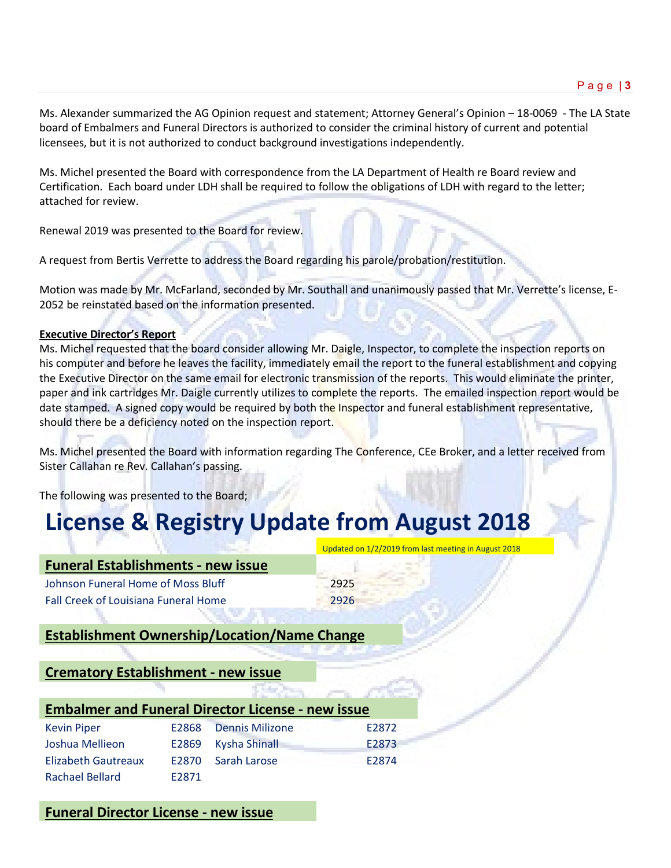Ms. Alexander summarized the AG Opinion request and statement; Attorney General's Opinion – 18-0069 - The LA State board of Embalmers and Funeral Directors is authorized to consider the criminal history of current and potential licensees, but it is not authorized to conduct background investigations independently.

Ms. Michel presented the Board with correspondence from the LA Department of Health re Board review and Certification. Each board under LDH shall be required to follow the obligations of LDH with regard to the letter; attached for review.

Renewal 2019 was presented to the Board for review.

A request from Bertis Verrette to address the Board regarding his parole/probation/restitution.

Motion was made by Mr. McFarland, seconded by Mr. Southall and unanimously passed that Mr. Verrette's license, E-2052 be reinstated based on the information presented.

## **Executive Director's Report**

Ms. Michel requested that the board consider allowing Mr. Daigle, Inspector, to complete the inspection reports on his computer and before he leaves the facility, immediately email the report to the funeral establishment and copying the Executive Director on the same email for electronic transmission of the reports. This would eliminate the printer, paper and ink cartridges Mr. Daigle currently utilizes to complete the reports. The emailed inspection report would be date stamped. A signed copy would be required by both the Inspector and funeral establishment representative, should there be a deficiency noted on the inspection report.

Ms. Michel presented the Board with information regarding The Conference, CEe Broker, and a letter received from Sister Callahan re Rev. Callahan's passing.

Updated on 1/2/2019 from last meeting in August 2018

The following was presented to the Board;

# **License & Registry Update from August 2018**

| <b>Funeral Establishments - new issue</b> |      |
|-------------------------------------------|------|
| Johnson Funeral Home of Moss Bluff        | 2925 |
| Fall Creek of Louisiana Funeral Home      | 2926 |

## **Establishment Ownership/Location/Name Change**

## **Crematory Establishment - new issue**

| <b>Embalmer and Funeral Director License - new issue</b> |       |                       |       |  |  |
|----------------------------------------------------------|-------|-----------------------|-------|--|--|
| <b>Kevin Piper</b>                                       |       | E2868 Dennis Milizone | E2872 |  |  |
| Joshua Mellieon                                          |       | E2869 Kysha Shinall   | E2873 |  |  |
| <b>Elizabeth Gautreaux</b>                               |       | E2870 Sarah Larose    | F2874 |  |  |
| <b>Rachael Bellard</b>                                   | F2871 |                       |       |  |  |

## **Funeral Director License - new issue**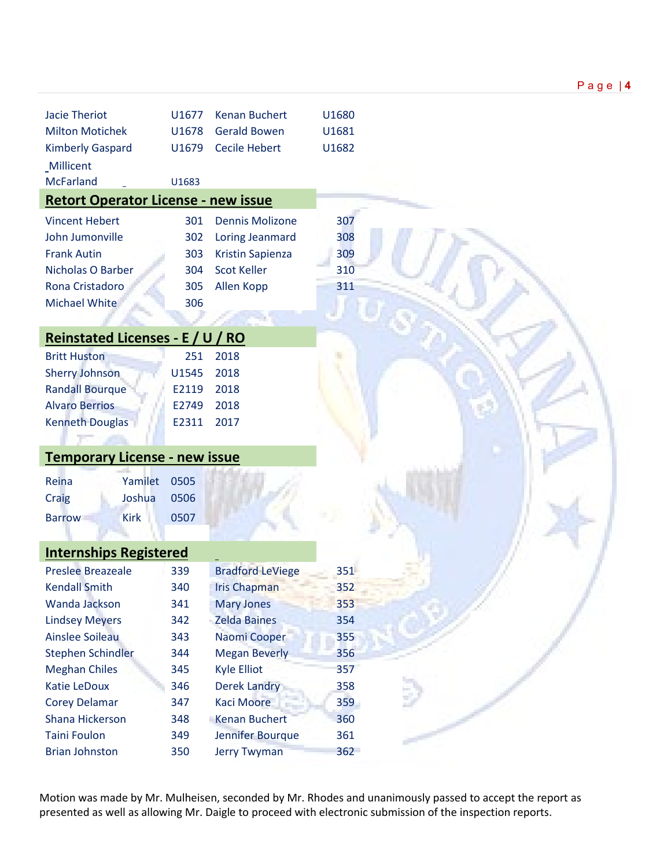| <b>Jacie Theriot</b>                       | U1677 | <b>Kenan Buchert</b>    | U1680 |
|--------------------------------------------|-------|-------------------------|-------|
| <b>Milton Motichek</b>                     | U1678 | <b>Gerald Bowen</b>     | U1681 |
| <b>Kimberly Gaspard</b>                    | U1679 | <b>Cecile Hebert</b>    | U1682 |
| Millicent                                  |       |                         |       |
| <b>McFarland</b>                           | U1683 |                         |       |
| <b>Retort Operator License - new issue</b> |       |                         |       |
| <b>Vincent Hebert</b>                      | 301   | <b>Dennis Molizone</b>  | 307   |
| John Jumonville                            | 302   | <b>Loring Jeanmard</b>  | 308   |
| <b>Frank Autin</b>                         | 303   | Kristin Sapienza        | 309   |
| <b>Nicholas O Barber</b>                   | 304   | <b>Scot Keller</b>      | 310   |
| Rona Cristadoro                            | 305   |                         | 311   |
|                                            |       | Allen Kopp              |       |
| Michael White                              | 306   |                         |       |
| <b>Reinstated Licenses - E / U / RO</b>    |       |                         |       |
| <b>Britt Huston</b>                        | 251   | 2018                    |       |
| <b>Sherry Johnson</b>                      | U1545 | 2018                    |       |
| <b>Randall Bourque</b>                     | E2119 | 2018                    |       |
| <b>Alvaro Berrios</b>                      | E2749 | 2018                    |       |
| <b>Kenneth Douglas</b>                     | E2311 | 2017                    |       |
|                                            |       |                         |       |
| <b>Temporary License - new issue</b>       |       |                         |       |
| Reina<br>Yamilet                           | 0505  |                         |       |
| Joshua<br>Craig                            | 0506  |                         |       |
| <b>Kirk</b><br><b>Barrow</b>               | 0507  |                         |       |
|                                            |       |                         |       |
| <b>Internships Registered</b>              |       |                         |       |
| <b>Preslee Breazeale</b>                   | 339   | <b>Bradford LeViege</b> | 351   |
| <b>Kendall Smith</b>                       | 340   | <b>Iris Chapman</b>     | 352   |
| Wanda Jackson                              | 341   | <b>Mary Jones</b>       | 353   |
| <b>Lindsey Meyers</b>                      | 342   | <b>Zelda Baines</b>     | 354   |
| <b>Ainslee Soileau</b>                     | 343   | Naomi Cooper            | 355   |
| <b>Stephen Schindler</b>                   | 344   | <b>Megan Beverly</b>    | 356   |
| <b>Meghan Chiles</b>                       | 345   | <b>Kyle Elliot</b>      | 357   |
| Katie LeDoux                               | 346   | <b>Derek Landry</b>     | 358   |
| <b>Corey Delamar</b>                       | 347   | <b>Kaci Moore</b>       | 359   |
| Shana Hickerson                            | 348   | Kenan Buchert           | 360   |
| <b>Taini Foulon</b>                        | 349   | Jennifer Bourque        | 361   |
| <b>Brian Johnston</b>                      | 350   | <b>Jerry Twyman</b>     | 362   |

Motion was made by Mr. Mulheisen, seconded by Mr. Rhodes and unanimously passed to accept the report as presented as well as allowing Mr. Daigle to proceed with electronic submission of the inspection reports.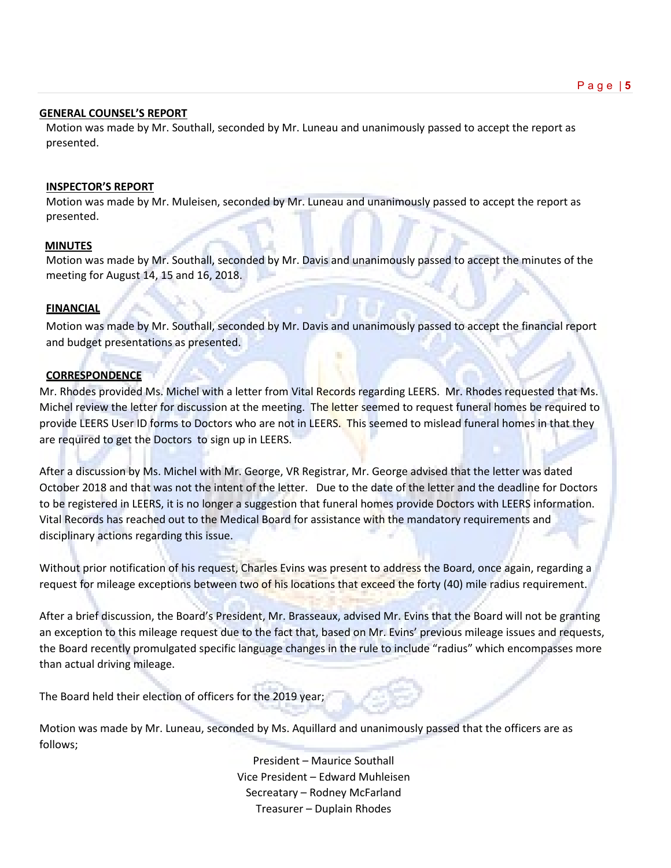## Page | **5**

#### **GENERAL COUNSEL'S REPORT**

Motion was made by Mr. Southall, seconded by Mr. Luneau and unanimously passed to accept the report as presented.

## **INSPECTOR'S REPORT**

Motion was made by Mr. Muleisen, seconded by Mr. Luneau and unanimously passed to accept the report as presented.

## **MINUTES**

Motion was made by Mr. Southall, seconded by Mr. Davis and unanimously passed to accept the minutes of the meeting for August 14, 15 and 16, 2018.

#### **FINANCIAL**

Motion was made by Mr. Southall, seconded by Mr. Davis and unanimously passed to accept the financial report and budget presentations as presented.

## **CORRESPONDENCE**

Mr. Rhodes provided Ms. Michel with a letter from Vital Records regarding LEERS. Mr. Rhodes requested that Ms. Michel review the letter for discussion at the meeting. The letter seemed to request funeral homes be required to provide LEERS User ID forms to Doctors who are not in LEERS. This seemed to mislead funeral homes in that they are required to get the Doctors to sign up in LEERS.

After a discussion by Ms. Michel with Mr. George, VR Registrar, Mr. George advised that the letter was dated October 2018 and that was not the intent of the letter. Due to the date of the letter and the deadline for Doctors to be registered in LEERS, it is no longer a suggestion that funeral homes provide Doctors with LEERS information. Vital Records has reached out to the Medical Board for assistance with the mandatory requirements and disciplinary actions regarding this issue.

Without prior notification of his request, Charles Evins was present to address the Board, once again, regarding a request for mileage exceptions between two of his locations that exceed the forty (40) mile radius requirement.

After a brief discussion, the Board's President, Mr. Brasseaux, advised Mr. Evins that the Board will not be granting an exception to this mileage request due to the fact that, based on Mr. Evins' previous mileage issues and requests, the Board recently promulgated specific language changes in the rule to include "radius" which encompasses more than actual driving mileage.

The Board held their election of officers for the 2019 year;

Motion was made by Mr. Luneau, seconded by Ms. Aquillard and unanimously passed that the officers are as follows;

> President – Maurice Southall Vice President – Edward Muhleisen Secreatary – Rodney McFarland Treasurer – Duplain Rhodes